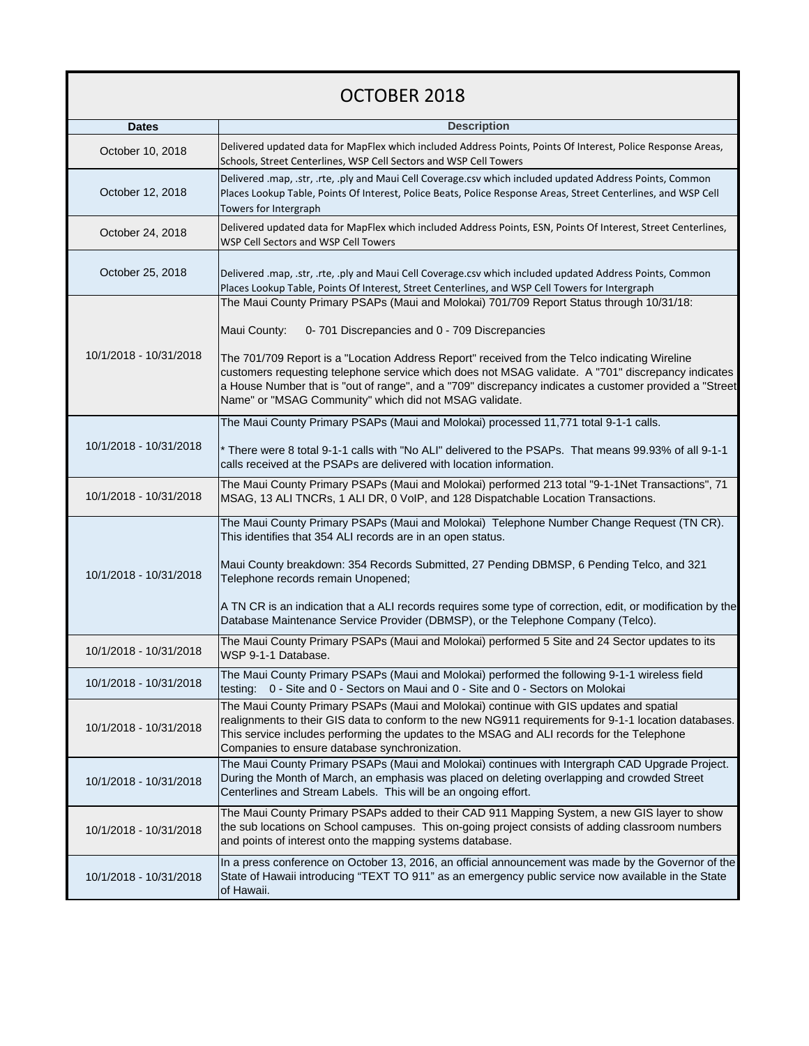## OCTOBER 2018

| <b>Dates</b>           | <b>Description</b>                                                                                                                                                                                                                                                                                                                                                                                                                                                                                                                   |
|------------------------|--------------------------------------------------------------------------------------------------------------------------------------------------------------------------------------------------------------------------------------------------------------------------------------------------------------------------------------------------------------------------------------------------------------------------------------------------------------------------------------------------------------------------------------|
| October 10, 2018       | Delivered updated data for MapFlex which included Address Points, Points Of Interest, Police Response Areas,<br>Schools, Street Centerlines, WSP Cell Sectors and WSP Cell Towers                                                                                                                                                                                                                                                                                                                                                    |
| October 12, 2018       | Delivered .map, .str, .rte, .ply and Maui Cell Coverage.csv which included updated Address Points, Common<br>Places Lookup Table, Points Of Interest, Police Beats, Police Response Areas, Street Centerlines, and WSP Cell<br>Towers for Intergraph                                                                                                                                                                                                                                                                                 |
| October 24, 2018       | Delivered updated data for MapFlex which included Address Points, ESN, Points Of Interest, Street Centerlines,<br>WSP Cell Sectors and WSP Cell Towers                                                                                                                                                                                                                                                                                                                                                                               |
| October 25, 2018       | Delivered .map, .str, .rte, .ply and Maui Cell Coverage.csv which included updated Address Points, Common<br>Places Lookup Table, Points Of Interest, Street Centerlines, and WSP Cell Towers for Intergraph                                                                                                                                                                                                                                                                                                                         |
| 10/1/2018 - 10/31/2018 | The Maui County Primary PSAPs (Maui and Molokai) 701/709 Report Status through 10/31/18:<br>Maui County:<br>0-701 Discrepancies and 0 - 709 Discrepancies<br>The 701/709 Report is a "Location Address Report" received from the Telco indicating Wireline<br>customers requesting telephone service which does not MSAG validate. A "701" discrepancy indicates<br>a House Number that is "out of range", and a "709" discrepancy indicates a customer provided a "Street<br>Name" or "MSAG Community" which did not MSAG validate. |
| 10/1/2018 - 10/31/2018 | The Maui County Primary PSAPs (Maui and Molokai) processed 11,771 total 9-1-1 calls.<br>* There were 8 total 9-1-1 calls with "No ALI" delivered to the PSAPs. That means 99.93% of all 9-1-1<br>calls received at the PSAPs are delivered with location information.                                                                                                                                                                                                                                                                |
| 10/1/2018 - 10/31/2018 | The Maui County Primary PSAPs (Maui and Molokai) performed 213 total "9-1-1Net Transactions", 71<br>MSAG, 13 ALI TNCRs, 1 ALI DR, 0 VoIP, and 128 Dispatchable Location Transactions.                                                                                                                                                                                                                                                                                                                                                |
| 10/1/2018 - 10/31/2018 | The Maui County Primary PSAPs (Maui and Molokai) Telephone Number Change Request (TN CR).<br>This identifies that 354 ALI records are in an open status.<br>Maui County breakdown: 354 Records Submitted, 27 Pending DBMSP, 6 Pending Telco, and 321<br>Telephone records remain Unopened;<br>A TN CR is an indication that a ALI records requires some type of correction, edit, or modification by the<br>Database Maintenance Service Provider (DBMSP), or the Telephone Company (Telco).                                         |
| 10/1/2018 - 10/31/2018 | The Maui County Primary PSAPs (Maui and Molokai) performed 5 Site and 24 Sector updates to its<br>WSP 9-1-1 Database.                                                                                                                                                                                                                                                                                                                                                                                                                |
| 10/1/2018 - 10/31/2018 | The Maui County Primary PSAPs (Maui and Molokai) performed the following 9-1-1 wireless field<br>testing: 0 - Site and 0 - Sectors on Maui and 0 - Site and 0 - Sectors on Molokai                                                                                                                                                                                                                                                                                                                                                   |
| 10/1/2018 - 10/31/2018 | The Maui County Primary PSAPs (Maui and Molokai) continue with GIS updates and spatial<br>realignments to their GIS data to conform to the new NG911 requirements for 9-1-1 location databases.<br>This service includes performing the updates to the MSAG and ALI records for the Telephone<br>Companies to ensure database synchronization.                                                                                                                                                                                       |
| 10/1/2018 - 10/31/2018 | The Maui County Primary PSAPs (Maui and Molokai) continues with Intergraph CAD Upgrade Project.<br>During the Month of March, an emphasis was placed on deleting overlapping and crowded Street<br>Centerlines and Stream Labels. This will be an ongoing effort.                                                                                                                                                                                                                                                                    |
| 10/1/2018 - 10/31/2018 | The Maui County Primary PSAPs added to their CAD 911 Mapping System, a new GIS layer to show<br>the sub locations on School campuses. This on-going project consists of adding classroom numbers<br>and points of interest onto the mapping systems database.                                                                                                                                                                                                                                                                        |
| 10/1/2018 - 10/31/2018 | In a press conference on October 13, 2016, an official announcement was made by the Governor of the<br>State of Hawaii introducing "TEXT TO 911" as an emergency public service now available in the State<br>of Hawaii.                                                                                                                                                                                                                                                                                                             |